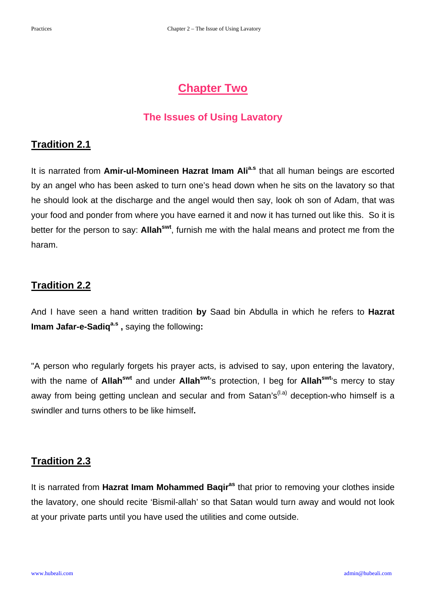# **Chapter Two**

#### **The Issues of Using Lavatory**

#### **Tradition 2.1**

It is narrated from Amir-ul-Momineen Hazrat Imam Ali<sup>a.s</sup> that all human beings are escorted by an angel who has been asked to turn one's head down when he sits on the lavatory so that he should look at the discharge and the angel would then say, look oh son of Adam, that was your food and ponder from where you have earned it and now it has turned out like this. So it is better for the person to say: **Allahswt**, furnish me with the halal means and protect me from the haram.

# **Tradition 2.2**

And I have seen a hand written tradition **by** Saad bin Abdulla in which he refers to **Hazrat Imam Jafar-e-Sadiq<sup>a.s</sup>**, saying the following:

"A person who regularly forgets his prayer acts, is advised to say, upon entering the lavatory, with the name of **Allah<sup>swt</sup>** and under **Allah<sup>swt<sub>'</sub>s** protection, I beg for **Allah<sup>swt</sup>'s** mercy to stay</sup> away from being getting unclean and secular and from Satan's<sup>(l.a)</sup> deception-who himself is a swindler and turns others to be like himself**.** 

#### **Tradition 2.3**

It is narrated from **Hazrat Imam Mohammed Baqiras** that prior to removing your clothes inside the lavatory, one should recite 'Bismil-allah' so that Satan would turn away and would not look at your private parts until you have used the utilities and come outside.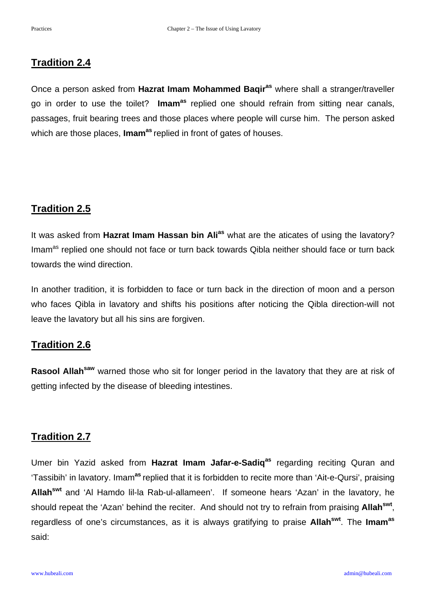#### **Tradition 2.4**

Once a person asked from **Hazrat Imam Mohammed Baqiras** where shall a stranger/traveller go in order to use the toilet? **Imamas** replied one should refrain from sitting near canals, passages, fruit bearing trees and those places where people will curse him. The person asked which are those places, **Imam<sup>as</sup>** replied in front of gates of houses.

# **Tradition 2.5**

It was asked from **Hazrat Imam Hassan bin Alias** what are the aticates of using the lavatory? Imam<sup>as</sup> replied one should not face or turn back towards Qibla neither should face or turn back towards the wind direction.

In another tradition, it is forbidden to face or turn back in the direction of moon and a person who faces Qibla in lavatory and shifts his positions after noticing the Qibla direction-will not leave the lavatory but all his sins are forgiven.

# **Tradition 2.6**

**Rasool Allah<sup>saw</sup>** warned those who sit for longer period in the lavatory that they are at risk of getting infected by the disease of bleeding intestines.

# **Tradition 2.7**

Umer bin Yazid asked from **Hazrat Imam Jafar-e-Sadiq<sup>as</sup> regarding reciting Quran and** 'Tassibih' in lavatory. Imam**as** replied that it is forbidden to recite more than 'Ait-e-Qursi', praising **Allahswt** and 'Al Hamdo lil-la Rab-ul-allameen'. If someone hears 'Azan' in the lavatory, he should repeat the 'Azan' behind the reciter. And should not try to refrain from praising **Allahswt**, regardless of one's circumstances, as it is always gratifying to praise **Allahswt**. The **Imamas** said: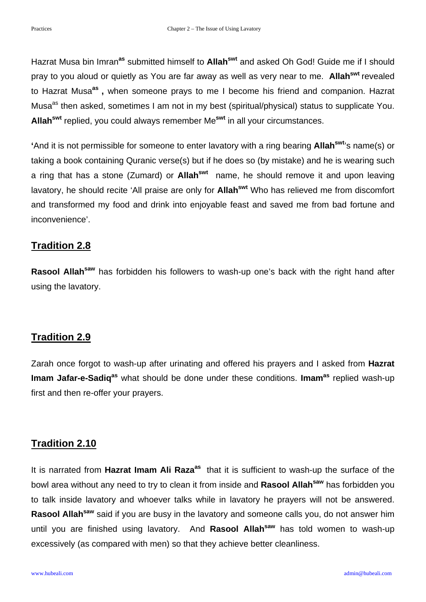Hazrat Musa bin Imran**as** submitted himself to **Allahswt** and asked Oh God! Guide me if I should pray to you aloud or quietly as You are far away as well as very near to me. **Allahswt** revealed to Hazrat Musa**as ,** when someone prays to me I become his friend and companion. Hazrat Musa<sup>as</sup> then asked, sometimes I am not in my best (spiritual/physical) status to supplicate You. **Allahswt** replied, you could always remember Me**swt** in all your circumstances.

**'**And it is not permissible for someone to enter lavatory with a ring bearing **Allahswt**'s name(s) or taking a book containing Quranic verse(s) but if he does so (by mistake) and he is wearing such a ring that has a stone (Zumard) or **Allahswt** name, he should remove it and upon leaving lavatory, he should recite 'All praise are only for **Allahswt** Who has relieved me from discomfort and transformed my food and drink into enjoyable feast and saved me from bad fortune and inconvenience'.

### **Tradition 2.8**

**Rasool Allah<sup>saw</sup>** has forbidden his followers to wash-up one's back with the right hand after using the lavatory.

# **Tradition 2.9**

Zarah once forgot to wash-up after urinating and offered his prayers and I asked from **Hazrat Imam Jafar-e-Sadiq<sup>as</sup>** what should be done under these conditions. **Imam<sup>as</sup>** replied wash-up first and then re-offer your prayers.

# **Tradition 2.10**

It is narrated from Hazrat Imam Ali Raza<sup>as</sup> that it is sufficient to wash-up the surface of the bowl area without any need to try to clean it from inside and **Rasool Allahsaw** has forbidden you to talk inside lavatory and whoever talks while in lavatory he prayers will not be answered. Rasool Allah<sup>saw</sup> said if you are busy in the lavatory and someone calls you, do not answer him until you are finished using lavatory. And **Rasool Allahsaw** has told women to wash-up excessively (as compared with men) so that they achieve better cleanliness.